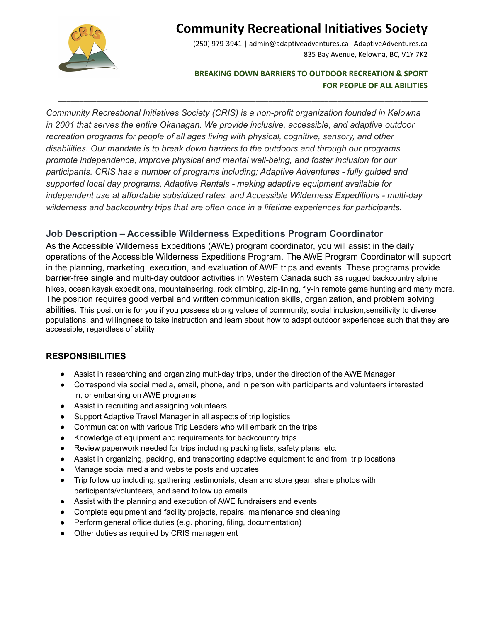

# **Community Recreational Initiatives Society**

(250) 979-3941 | admin@adaptiveadventures.ca |AdaptiveAdventures.ca 835 Bay Avenue, Kelowna, BC, V1Y 7K2

### **BREAKING DOWN BARRIERS TO OUTDOOR RECREATION & SPORT FOR PEOPLE OF ALL ABILITIES**

*Community Recreational Initiatives Society (CRIS) is a non-profit organization founded in Kelowna in 2001 that serves the entire Okanagan. We provide inclusive, accessible, and adaptive outdoor recreation programs for people of all ages living with physical, cognitive, sensory, and other disabilities. Our mandate is to break down barriers to the outdoors and through our programs promote independence, improve physical and mental well-being, and foster inclusion for our participants. CRIS has a number of programs including; Adaptive Adventures - fully guided and supported local day programs, Adaptive Rentals - making adaptive equipment available for independent use at affordable subsidized rates, and Accessible Wilderness Expeditions - multi-day wilderness and backcountry trips that are often once in a lifetime experiences for participants.*

\_\_\_\_\_\_\_\_\_\_\_\_\_\_\_\_\_\_\_\_\_\_\_\_\_\_\_\_\_\_\_\_\_\_\_\_\_\_\_\_\_\_\_\_\_\_\_\_\_\_\_\_\_\_\_\_\_\_\_\_\_\_\_\_\_\_\_\_\_\_\_\_\_\_\_\_\_\_\_\_\_\_\_\_\_\_

## **Job Description – Accessible Wilderness Expeditions Program Coordinator**

As the Accessible Wilderness Expeditions (AWE) program coordinator, you will assist in the daily operations of the Accessible Wilderness Expeditions Program. The AWE Program Coordinator will support in the planning, marketing, execution, and evaluation of AWE trips and events. These programs provide barrier-free single and multi-day outdoor activities in Western Canada such as rugged backcountry alpine hikes, ocean kayak expeditions, mountaineering, rock climbing, zip-lining, fly-in remote game hunting and many more. The position requires good verbal and written communication skills, organization, and problem solving abilities. This position is for you if you possess strong values of community, social inclusion,sensitivity to diverse populations, and willingness to take instruction and learn about how to adapt outdoor experiences such that they are accessible, regardless of ability.

### **RESPONSIBILITIES**

- Assist in researching and organizing multi-day trips, under the direction of the AWE Manager
- Correspond via social media, email, phone, and in person with participants and volunteers interested in, or embarking on AWE programs
- Assist in recruiting and assigning volunteers
- Support Adaptive Travel Manager in all aspects of trip logistics
- Communication with various Trip Leaders who will embark on the trips
- Knowledge of equipment and requirements for backcountry trips
- Review paperwork needed for trips including packing lists, safety plans, etc.
- Assist in organizing, packing, and transporting adaptive equipment to and from trip locations
- Manage social media and website posts and updates
- Trip follow up including: gathering testimonials, clean and store gear, share photos with participants/volunteers, and send follow up emails
- Assist with the planning and execution of AWE fundraisers and events
- Complete equipment and facility projects, repairs, maintenance and cleaning
- Perform general office duties (e.g. phoning, filing, documentation)
- Other duties as required by CRIS management